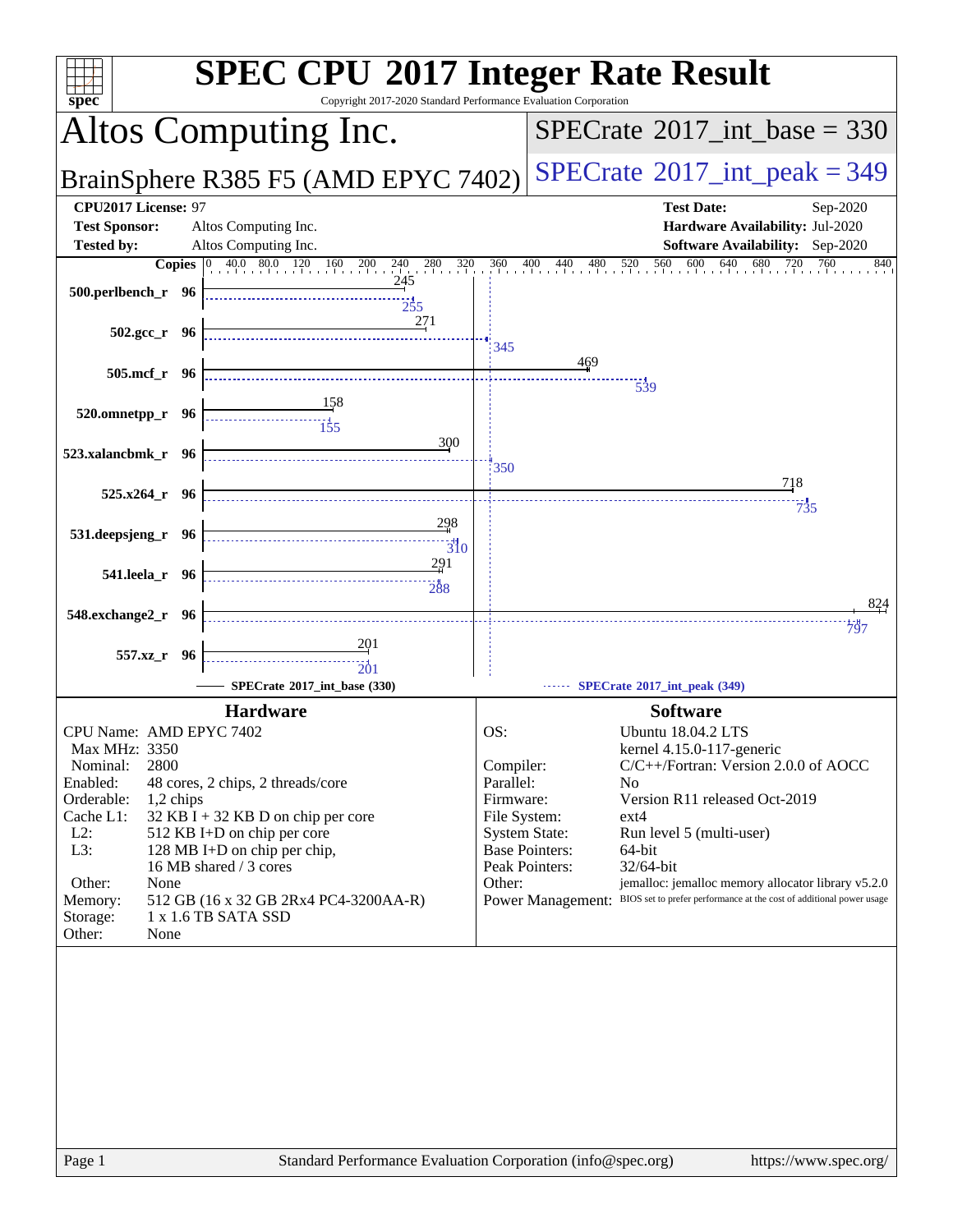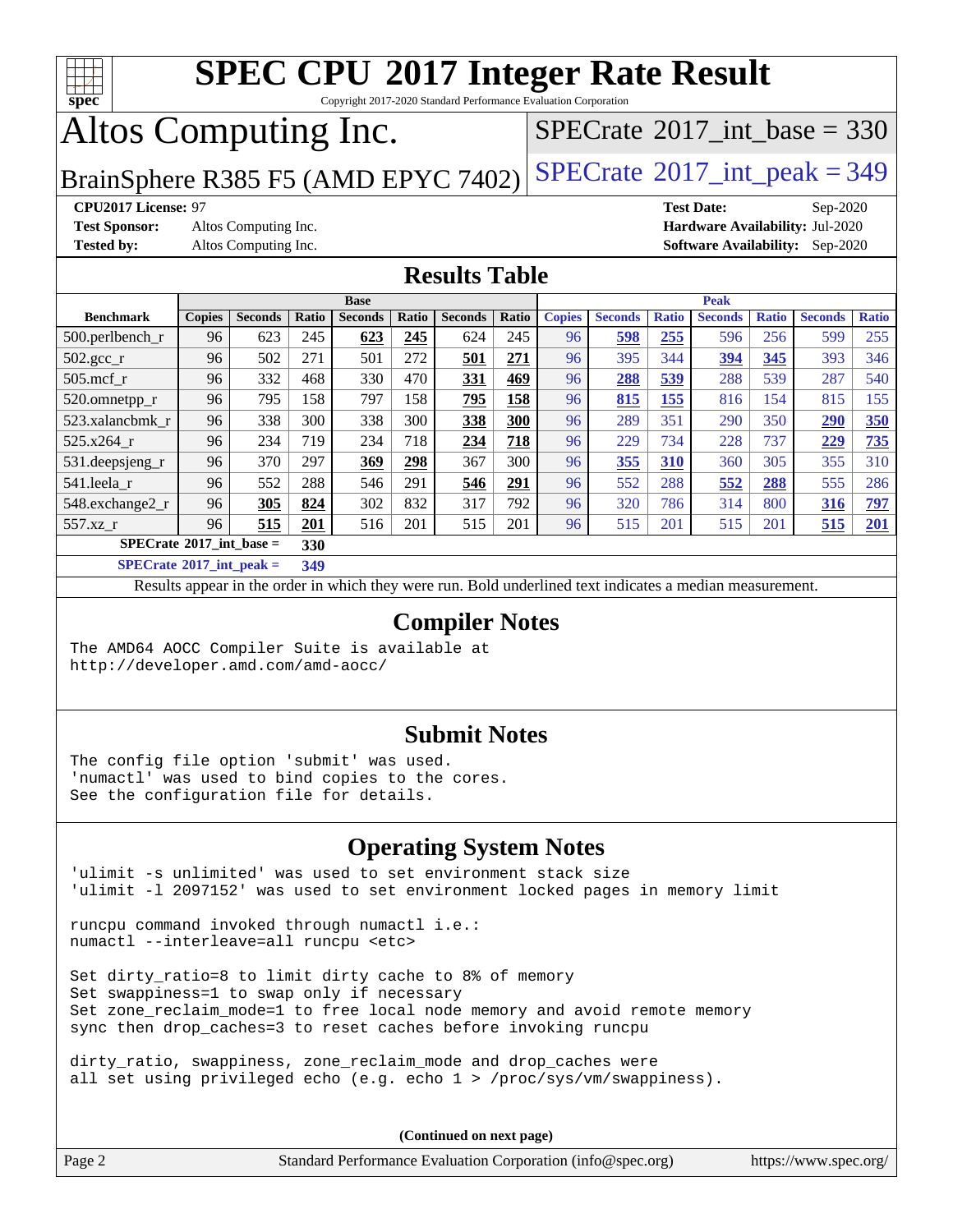

Copyright 2017-2020 Standard Performance Evaluation Corporation

# Altos Computing Inc.

 $SPECTate@2017_int\_base = 330$ 

BrainSphere R385 F5 (AMD EPYC 7402) [SPECrate](http://www.spec.org/auto/cpu2017/Docs/result-fields.html#SPECrate2017intpeak)<sup>®</sup>[2017\\_int\\_peak = 3](http://www.spec.org/auto/cpu2017/Docs/result-fields.html#SPECrate2017intpeak)49

**[Test Sponsor:](http://www.spec.org/auto/cpu2017/Docs/result-fields.html#TestSponsor)** Altos Computing Inc. **[Hardware Availability:](http://www.spec.org/auto/cpu2017/Docs/result-fields.html#HardwareAvailability)** Jul-2020

**[CPU2017 License:](http://www.spec.org/auto/cpu2017/Docs/result-fields.html#CPU2017License)** 97 **[Test Date:](http://www.spec.org/auto/cpu2017/Docs/result-fields.html#TestDate)** Sep-2020 **[Tested by:](http://www.spec.org/auto/cpu2017/Docs/result-fields.html#Testedby)** Altos Computing Inc. **[Software Availability:](http://www.spec.org/auto/cpu2017/Docs/result-fields.html#SoftwareAvailability)** Sep-2020

### **[Results Table](http://www.spec.org/auto/cpu2017/Docs/result-fields.html#ResultsTable)**

|                                          | <b>Base</b>   |                |       |                | <b>Peak</b> |                |       |               |                |              |                |              |                |              |
|------------------------------------------|---------------|----------------|-------|----------------|-------------|----------------|-------|---------------|----------------|--------------|----------------|--------------|----------------|--------------|
| <b>Benchmark</b>                         | <b>Copies</b> | <b>Seconds</b> | Ratio | <b>Seconds</b> | Ratio       | <b>Seconds</b> | Ratio | <b>Copies</b> | <b>Seconds</b> | <b>Ratio</b> | <b>Seconds</b> | <b>Ratio</b> | <b>Seconds</b> | <b>Ratio</b> |
| $500$ .perlbench r                       | 96            | 623            | 245   | 623            | 245         | 624            | 245   | 96            | 598            | 255          | 596            | 256          | 599            | 255          |
| $502.\text{sec}$                         | 96            | 502            | 271   | 501            | 272         | 501            | 271   | 96            | 395            | 344          | 394            | 345          | 393            | 346          |
| $505$ .mcf r                             | 96            | 332            | 468   | 330            | 470         | 331            | 469   | 96            | 288            | 539          | 288            | 539          | 287            | 540          |
| 520.omnetpp_r                            | 96            | 795            | 158   | 797            | 158         | 795            | 158   | 96            | 815            | 155          | 816            | 154          | 815            | 155          |
| 523.xalancbmk r                          | 96            | 338            | 300   | 338            | 300         | 338            | 300   | 96            | 289            | 351          | 290            | 350          | 290            | 350          |
| 525.x264 r                               | 96            | 234            | 719   | 234            | 718         | 234            | 718   | 96            | 229            | 734          | 228            | 737          | 229            | 735          |
| 531.deepsjeng_r                          | 96            | 370            | 297   | 369            | 298         | 367            | 300   | 96            | 355            | 310          | 360            | 305          | 355            | 310          |
| 541.leela_r                              | 96            | 552            | 288   | 546            | 291         | 546            | 291   | 96            | 552            | 288          | 552            | 288          | 555            | 286          |
| 548.exchange2_r                          | 96            | 305            | 824   | 302            | 832         | 317            | 792   | 96            | 320            | 786          | 314            | 800          | 316            | <u>797</u>   |
| 557.xz r                                 | 96            | 515            | 201   | 516            | 201         | 515            | 201   | 96            | 515            | 201          | 515            | 201          | 515            | 201          |
| $SPECrate^{\circ}2017$ int base =<br>330 |               |                |       |                |             |                |       |               |                |              |                |              |                |              |
| _____                                    |               |                |       |                |             |                |       |               |                |              |                |              |                |              |

**[SPECrate](http://www.spec.org/auto/cpu2017/Docs/result-fields.html#SPECrate2017intpeak)[2017\\_int\\_peak =](http://www.spec.org/auto/cpu2017/Docs/result-fields.html#SPECrate2017intpeak) 349**

Results appear in the [order in which they were run](http://www.spec.org/auto/cpu2017/Docs/result-fields.html#RunOrder). Bold underlined text [indicates a median measurement](http://www.spec.org/auto/cpu2017/Docs/result-fields.html#Median).

#### **[Compiler Notes](http://www.spec.org/auto/cpu2017/Docs/result-fields.html#CompilerNotes)**

The AMD64 AOCC Compiler Suite is available at <http://developer.amd.com/amd-aocc/>

### **[Submit Notes](http://www.spec.org/auto/cpu2017/Docs/result-fields.html#SubmitNotes)**

The config file option 'submit' was used. 'numactl' was used to bind copies to the cores. See the configuration file for details.

### **[Operating System Notes](http://www.spec.org/auto/cpu2017/Docs/result-fields.html#OperatingSystemNotes)**

'ulimit -s unlimited' was used to set environment stack size 'ulimit -l 2097152' was used to set environment locked pages in memory limit

runcpu command invoked through numactl i.e.: numactl --interleave=all runcpu <etc>

Set dirty\_ratio=8 to limit dirty cache to 8% of memory Set swappiness=1 to swap only if necessary Set zone\_reclaim\_mode=1 to free local node memory and avoid remote memory sync then drop\_caches=3 to reset caches before invoking runcpu

dirty\_ratio, swappiness, zone\_reclaim\_mode and drop\_caches were all set using privileged echo (e.g. echo 1 > /proc/sys/vm/swappiness).

**(Continued on next page)**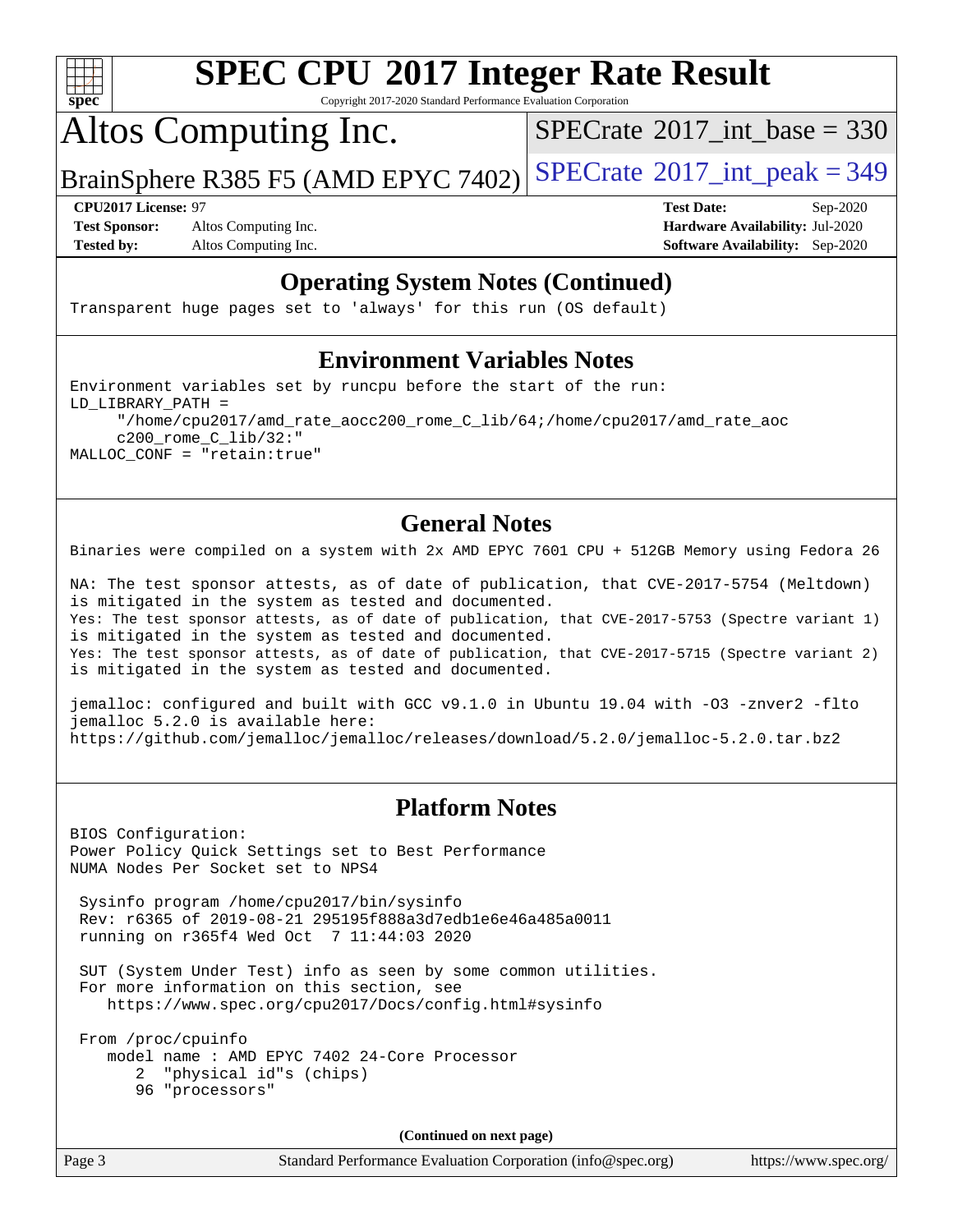

Copyright 2017-2020 Standard Performance Evaluation Corporation

Altos Computing Inc.

 $SPECTate@2017_int\_base = 330$ 

BrainSphere R385 F5 (AMD EPYC 7402) [SPECrate](http://www.spec.org/auto/cpu2017/Docs/result-fields.html#SPECrate2017intpeak)®[2017\\_int\\_peak = 3](http://www.spec.org/auto/cpu2017/Docs/result-fields.html#SPECrate2017intpeak)49

**[Test Sponsor:](http://www.spec.org/auto/cpu2017/Docs/result-fields.html#TestSponsor)** Altos Computing Inc. **[Hardware Availability:](http://www.spec.org/auto/cpu2017/Docs/result-fields.html#HardwareAvailability)** Jul-2020 **[Tested by:](http://www.spec.org/auto/cpu2017/Docs/result-fields.html#Testedby)** Altos Computing Inc. **[Software Availability:](http://www.spec.org/auto/cpu2017/Docs/result-fields.html#SoftwareAvailability)** Sep-2020

**[CPU2017 License:](http://www.spec.org/auto/cpu2017/Docs/result-fields.html#CPU2017License)** 97 **[Test Date:](http://www.spec.org/auto/cpu2017/Docs/result-fields.html#TestDate)** Sep-2020

### **[Operating System Notes \(Continued\)](http://www.spec.org/auto/cpu2017/Docs/result-fields.html#OperatingSystemNotes)**

Transparent huge pages set to 'always' for this run (OS default)

#### **[Environment Variables Notes](http://www.spec.org/auto/cpu2017/Docs/result-fields.html#EnvironmentVariablesNotes)**

Environment variables set by runcpu before the start of the run: LD\_LIBRARY\_PATH = "/home/cpu2017/amd\_rate\_aocc200\_rome\_C\_lib/64;/home/cpu2017/amd\_rate\_aoc c200\_rome\_C\_lib/32:" MALLOC\_CONF = "retain:true"

### **[General Notes](http://www.spec.org/auto/cpu2017/Docs/result-fields.html#GeneralNotes)**

Binaries were compiled on a system with 2x AMD EPYC 7601 CPU + 512GB Memory using Fedora 26

NA: The test sponsor attests, as of date of publication, that CVE-2017-5754 (Meltdown) is mitigated in the system as tested and documented. Yes: The test sponsor attests, as of date of publication, that CVE-2017-5753 (Spectre variant 1) is mitigated in the system as tested and documented. Yes: The test sponsor attests, as of date of publication, that CVE-2017-5715 (Spectre variant 2) is mitigated in the system as tested and documented.

jemalloc: configured and built with GCC v9.1.0 in Ubuntu 19.04 with -O3 -znver2 -flto jemalloc 5.2.0 is available here: <https://github.com/jemalloc/jemalloc/releases/download/5.2.0/jemalloc-5.2.0.tar.bz2>

### **[Platform Notes](http://www.spec.org/auto/cpu2017/Docs/result-fields.html#PlatformNotes)**

BIOS Configuration: Power Policy Quick Settings set to Best Performance NUMA Nodes Per Socket set to NPS4

 Sysinfo program /home/cpu2017/bin/sysinfo Rev: r6365 of 2019-08-21 295195f888a3d7edb1e6e46a485a0011 running on r365f4 Wed Oct 7 11:44:03 2020

 SUT (System Under Test) info as seen by some common utilities. For more information on this section, see <https://www.spec.org/cpu2017/Docs/config.html#sysinfo>

 From /proc/cpuinfo model name : AMD EPYC 7402 24-Core Processor 2 "physical id"s (chips) 96 "processors"

**(Continued on next page)**

Page 3 Standard Performance Evaluation Corporation [\(info@spec.org\)](mailto:info@spec.org) <https://www.spec.org/>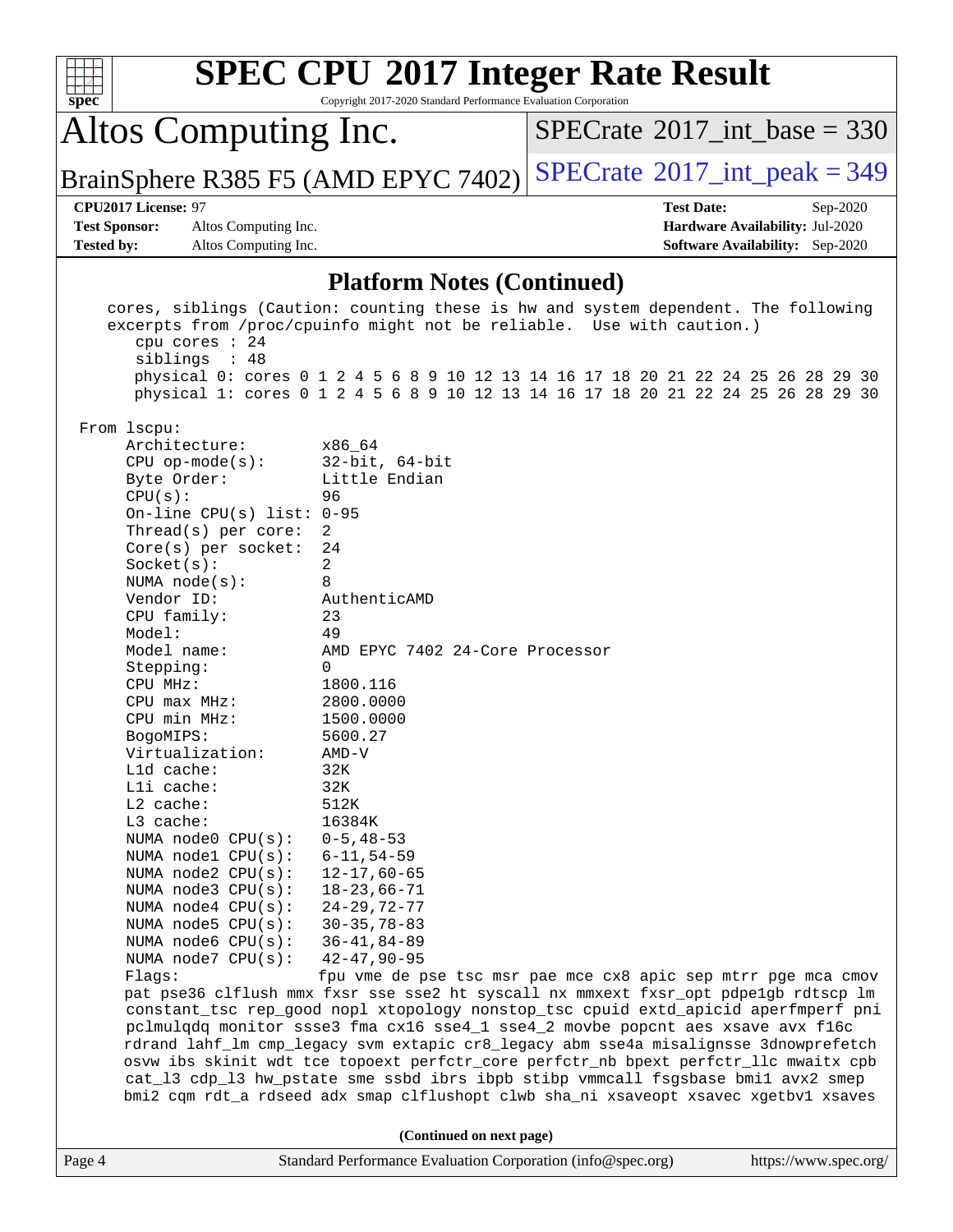| spec <sup>®</sup>                                                                                                                                                                                                                                                                                                                                                                                                                                                                                                                                                                                                                     | <b>SPEC CPU®2017 Integer Rate Result</b><br>Copyright 2017-2020 Standard Performance Evaluation Corporation                                                                                                                                                                                                                                                                                                                                                                                                                                                                                                                                                                                                                                                                                                                                                                                                                                                                                                                                                                                                                                                                                        |                                             |                                                                                       |
|---------------------------------------------------------------------------------------------------------------------------------------------------------------------------------------------------------------------------------------------------------------------------------------------------------------------------------------------------------------------------------------------------------------------------------------------------------------------------------------------------------------------------------------------------------------------------------------------------------------------------------------|----------------------------------------------------------------------------------------------------------------------------------------------------------------------------------------------------------------------------------------------------------------------------------------------------------------------------------------------------------------------------------------------------------------------------------------------------------------------------------------------------------------------------------------------------------------------------------------------------------------------------------------------------------------------------------------------------------------------------------------------------------------------------------------------------------------------------------------------------------------------------------------------------------------------------------------------------------------------------------------------------------------------------------------------------------------------------------------------------------------------------------------------------------------------------------------------------|---------------------------------------------|---------------------------------------------------------------------------------------|
| Altos Computing Inc.                                                                                                                                                                                                                                                                                                                                                                                                                                                                                                                                                                                                                  |                                                                                                                                                                                                                                                                                                                                                                                                                                                                                                                                                                                                                                                                                                                                                                                                                                                                                                                                                                                                                                                                                                                                                                                                    | $SPECTate$ <sup>®</sup> 2017_int_base = 330 |                                                                                       |
| BrainSphere R385 F5 (AMD EPYC 7402)                                                                                                                                                                                                                                                                                                                                                                                                                                                                                                                                                                                                   |                                                                                                                                                                                                                                                                                                                                                                                                                                                                                                                                                                                                                                                                                                                                                                                                                                                                                                                                                                                                                                                                                                                                                                                                    | $SPECrate^{\circ}2017\_int\_peak = 349$     |                                                                                       |
| CPU2017 License: 97<br><b>Test Sponsor:</b><br>Altos Computing Inc.<br><b>Tested by:</b><br>Altos Computing Inc.                                                                                                                                                                                                                                                                                                                                                                                                                                                                                                                      |                                                                                                                                                                                                                                                                                                                                                                                                                                                                                                                                                                                                                                                                                                                                                                                                                                                                                                                                                                                                                                                                                                                                                                                                    | <b>Test Date:</b>                           | Sep-2020<br>Hardware Availability: Jul-2020<br><b>Software Availability:</b> Sep-2020 |
|                                                                                                                                                                                                                                                                                                                                                                                                                                                                                                                                                                                                                                       | <b>Platform Notes (Continued)</b>                                                                                                                                                                                                                                                                                                                                                                                                                                                                                                                                                                                                                                                                                                                                                                                                                                                                                                                                                                                                                                                                                                                                                                  |                                             |                                                                                       |
| cpu cores : 24<br>siblings : 48<br>From 1scpu:<br>Architecture:<br>$CPU$ op-mode(s):<br>Byte Order:<br>CPU(s):<br>On-line CPU(s) list: $0-95$<br>Thread(s) per core:<br>Core(s) per socket:<br>Socket(s):<br>NUMA $node(s)$ :<br>Vendor ID:<br>CPU family:<br>Model:<br>Model name:<br>Stepping:<br>CPU MHz:<br>$CPU$ max $MHz$ :<br>CPU min MHz:<br>BogoMIPS:<br>Virtualization:<br>Lld cache:<br>Lli cache:<br>L2 cache:<br>L3 cache:<br>NUMA node0 CPU(s):<br>NUMA node1 CPU(s):<br>NUMA $node2$ $CPU(s):$<br>NUMA node3 CPU(s):<br>NUMA node4 CPU(s):<br>NUMA node5 CPU(s):<br>NUMA node6 CPU(s):<br>NUMA node7 CPU(s):<br>Flags: | cores, siblings (Caution: counting these is hw and system dependent. The following<br>excerpts from /proc/cpuinfo might not be reliable. Use with caution.)<br>physical 0: cores 0 1 2 4 5 6 8 9 10 12 13 14 16 17 18 20 21 22 24 25 26 28 29 30<br>physical 1: cores 0 1 2 4 5 6 8 9 10 12 13 14 16 17 18 20 21 22 24 25 26 28 29 30<br>x86 64<br>$32$ -bit, $64$ -bit<br>Little Endian<br>96<br>$\overline{2}$<br>24<br>2<br>8<br>AuthenticAMD<br>23<br>49<br>AMD EPYC 7402 24-Core Processor<br>0<br>1800.116<br>2800.0000<br>1500.0000<br>5600.27<br>$AMD-V$<br>32K<br>32K<br>512K<br>16384K<br>$0 - 5, 48 - 53$<br>$6 - 11, 54 - 59$<br>$12 - 17,60 - 65$<br>$18 - 23,66 - 71$<br>$24 - 29, 72 - 77$<br>$30 - 35, 78 - 83$<br>$36 - 41, 84 - 89$<br>$42 - 47, 90 - 95$<br>fpu vme de pse tsc msr pae mce cx8 apic sep mtrr pge mca cmov<br>pat pse36 clflush mmx fxsr sse sse2 ht syscall nx mmxext fxsr_opt pdpe1gb rdtscp lm<br>constant_tsc rep_good nopl xtopology nonstop_tsc cpuid extd_apicid aperfmperf pni<br>pclmulqdq monitor ssse3 fma cx16 sse4_1 sse4_2 movbe popcnt aes xsave avx f16c<br>rdrand lahf_lm cmp_legacy svm extapic cr8_legacy abm sse4a misalignsse 3dnowprefetch |                                             |                                                                                       |
|                                                                                                                                                                                                                                                                                                                                                                                                                                                                                                                                                                                                                                       | osvw ibs skinit wdt tce topoext perfctr_core perfctr_nb bpext perfctr_llc mwaitx cpb<br>cat_13 cdp_13 hw_pstate sme ssbd ibrs ibpb stibp vmmcall fsgsbase bmil avx2 smep                                                                                                                                                                                                                                                                                                                                                                                                                                                                                                                                                                                                                                                                                                                                                                                                                                                                                                                                                                                                                           |                                             |                                                                                       |
|                                                                                                                                                                                                                                                                                                                                                                                                                                                                                                                                                                                                                                       | bmi2 cqm rdt_a rdseed adx smap clflushopt clwb sha_ni xsaveopt xsavec xgetbv1 xsaves<br>(Continued on next page)                                                                                                                                                                                                                                                                                                                                                                                                                                                                                                                                                                                                                                                                                                                                                                                                                                                                                                                                                                                                                                                                                   |                                             |                                                                                       |
| Page 4                                                                                                                                                                                                                                                                                                                                                                                                                                                                                                                                                                                                                                | Standard Performance Evaluation Corporation (info@spec.org)                                                                                                                                                                                                                                                                                                                                                                                                                                                                                                                                                                                                                                                                                                                                                                                                                                                                                                                                                                                                                                                                                                                                        |                                             | https://www.spec.org/                                                                 |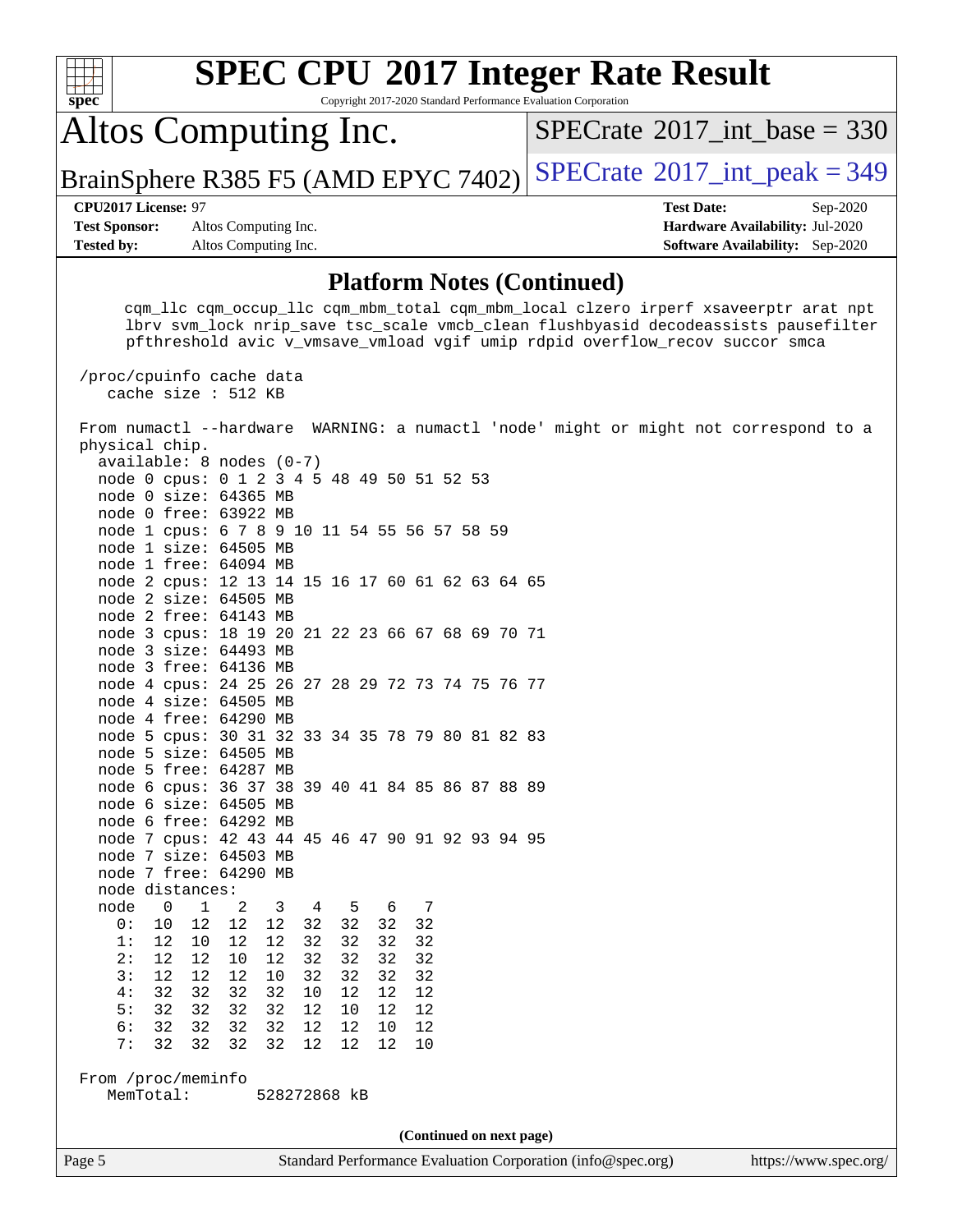| <b>SPEC CPU®2017 Integer Rate Result</b><br>Copyright 2017-2020 Standard Performance Evaluation Corporation<br>$spec^*$                                                                                                                                                                                                                                                                                                                                                                                                                                                                                                                                                                                                                                                                                                                                                                                                                                                                                                                                                                                                                                                                                                                                                                                                                                                                                                                                                                                                        |                                                                                                     |
|--------------------------------------------------------------------------------------------------------------------------------------------------------------------------------------------------------------------------------------------------------------------------------------------------------------------------------------------------------------------------------------------------------------------------------------------------------------------------------------------------------------------------------------------------------------------------------------------------------------------------------------------------------------------------------------------------------------------------------------------------------------------------------------------------------------------------------------------------------------------------------------------------------------------------------------------------------------------------------------------------------------------------------------------------------------------------------------------------------------------------------------------------------------------------------------------------------------------------------------------------------------------------------------------------------------------------------------------------------------------------------------------------------------------------------------------------------------------------------------------------------------------------------|-----------------------------------------------------------------------------------------------------|
| Altos Computing Inc.                                                                                                                                                                                                                                                                                                                                                                                                                                                                                                                                                                                                                                                                                                                                                                                                                                                                                                                                                                                                                                                                                                                                                                                                                                                                                                                                                                                                                                                                                                           | $SPECrate^{\circ}2017\_int\_base = 330$                                                             |
| BrainSphere R385 F5 (AMD EPYC 7402)                                                                                                                                                                                                                                                                                                                                                                                                                                                                                                                                                                                                                                                                                                                                                                                                                                                                                                                                                                                                                                                                                                                                                                                                                                                                                                                                                                                                                                                                                            | $SPECTate$ <sup>®</sup> 2017_int_peak = 349                                                         |
| CPU2017 License: 97<br><b>Test Sponsor:</b><br>Altos Computing Inc.<br>Altos Computing Inc.<br><b>Tested by:</b>                                                                                                                                                                                                                                                                                                                                                                                                                                                                                                                                                                                                                                                                                                                                                                                                                                                                                                                                                                                                                                                                                                                                                                                                                                                                                                                                                                                                               | <b>Test Date:</b><br>Sep-2020<br>Hardware Availability: Jul-2020<br>Software Availability: Sep-2020 |
| <b>Platform Notes (Continued)</b>                                                                                                                                                                                                                                                                                                                                                                                                                                                                                                                                                                                                                                                                                                                                                                                                                                                                                                                                                                                                                                                                                                                                                                                                                                                                                                                                                                                                                                                                                              |                                                                                                     |
| cqm_llc cqm_occup_llc cqm_mbm_total cqm_mbm_local clzero irperf xsaveerptr arat npt<br>lbrv svm_lock nrip_save tsc_scale vmcb_clean flushbyasid decodeassists pausefilter<br>pfthreshold avic v_vmsave_vmload vgif umip rdpid overflow_recov succor smca<br>/proc/cpuinfo cache data                                                                                                                                                                                                                                                                                                                                                                                                                                                                                                                                                                                                                                                                                                                                                                                                                                                                                                                                                                                                                                                                                                                                                                                                                                           |                                                                                                     |
| cache size : 512 KB<br>From numactl --hardware WARNING: a numactl 'node' might or might not correspond to a<br>physical chip.<br>$available: 8 nodes (0-7)$<br>node 0 cpus: 0 1 2 3 4 5 48 49 50 51 52 53<br>node 0 size: 64365 MB<br>node 0 free: 63922 MB<br>node 1 cpus: 6 7 8 9 10 11 54 55 56 57 58 59<br>node 1 size: 64505 MB<br>node 1 free: 64094 MB<br>node 2 cpus: 12 13 14 15 16 17 60 61 62 63 64 65<br>node 2 size: 64505 MB<br>node 2 free: 64143 MB<br>node 3 cpus: 18 19 20 21 22 23 66 67 68 69 70 71<br>node 3 size: 64493 MB<br>node 3 free: 64136 MB<br>node 4 cpus: 24 25 26 27 28 29 72 73 74 75 76 77<br>node 4 size: 64505 MB<br>node 4 free: 64290 MB<br>node 5 cpus: 30 31 32 33 34 35 78 79 80 81 82 83<br>node 5 size: 64505 MB<br>node 5 free: 64287 MB<br>node 6 cpus: 36 37 38 39 40 41 84 85 86 87 88 89<br>node 6 size: 64505 MB<br>node 6 free: 64292 MB<br>node 7 cpus: 42 43 44 45 46 47 90 91 92 93 94 95<br>node 7 size: 64503 MB<br>node 7 free: 64290 MB<br>node distances:<br>node<br>$\mathbf 1$<br>0<br>2<br>3<br>4<br>5<br>7<br>6<br>12<br>12<br>12<br>32<br>32<br>0:<br>10<br>32<br>32<br>1:<br>32<br>32<br>32<br>12<br>10<br>12<br>12<br>32<br>2:<br>12<br>10<br>12<br>32<br>32<br>32<br>12<br>32<br>32<br>3:<br>12<br>12<br>12<br>10<br>32<br>32<br>32<br>4:<br>32<br>32<br>32<br>32<br>10<br>12<br>12<br>12<br>5:<br>32<br>32<br>32<br>32<br>12<br>12<br>12<br>10<br>6:<br>32<br>32<br>32<br>12<br>12<br>32<br>10<br>12<br>32<br>7:<br>32<br>32<br>32<br>12<br>12<br>12<br>10 |                                                                                                     |
| From /proc/meminfo<br>MemTotal:<br>528272868 kB                                                                                                                                                                                                                                                                                                                                                                                                                                                                                                                                                                                                                                                                                                                                                                                                                                                                                                                                                                                                                                                                                                                                                                                                                                                                                                                                                                                                                                                                                |                                                                                                     |
| (Continued on next page)                                                                                                                                                                                                                                                                                                                                                                                                                                                                                                                                                                                                                                                                                                                                                                                                                                                                                                                                                                                                                                                                                                                                                                                                                                                                                                                                                                                                                                                                                                       |                                                                                                     |
| Standard Performance Evaluation Corporation (info@spec.org)<br>Page 5                                                                                                                                                                                                                                                                                                                                                                                                                                                                                                                                                                                                                                                                                                                                                                                                                                                                                                                                                                                                                                                                                                                                                                                                                                                                                                                                                                                                                                                          | https://www.spec.org/                                                                               |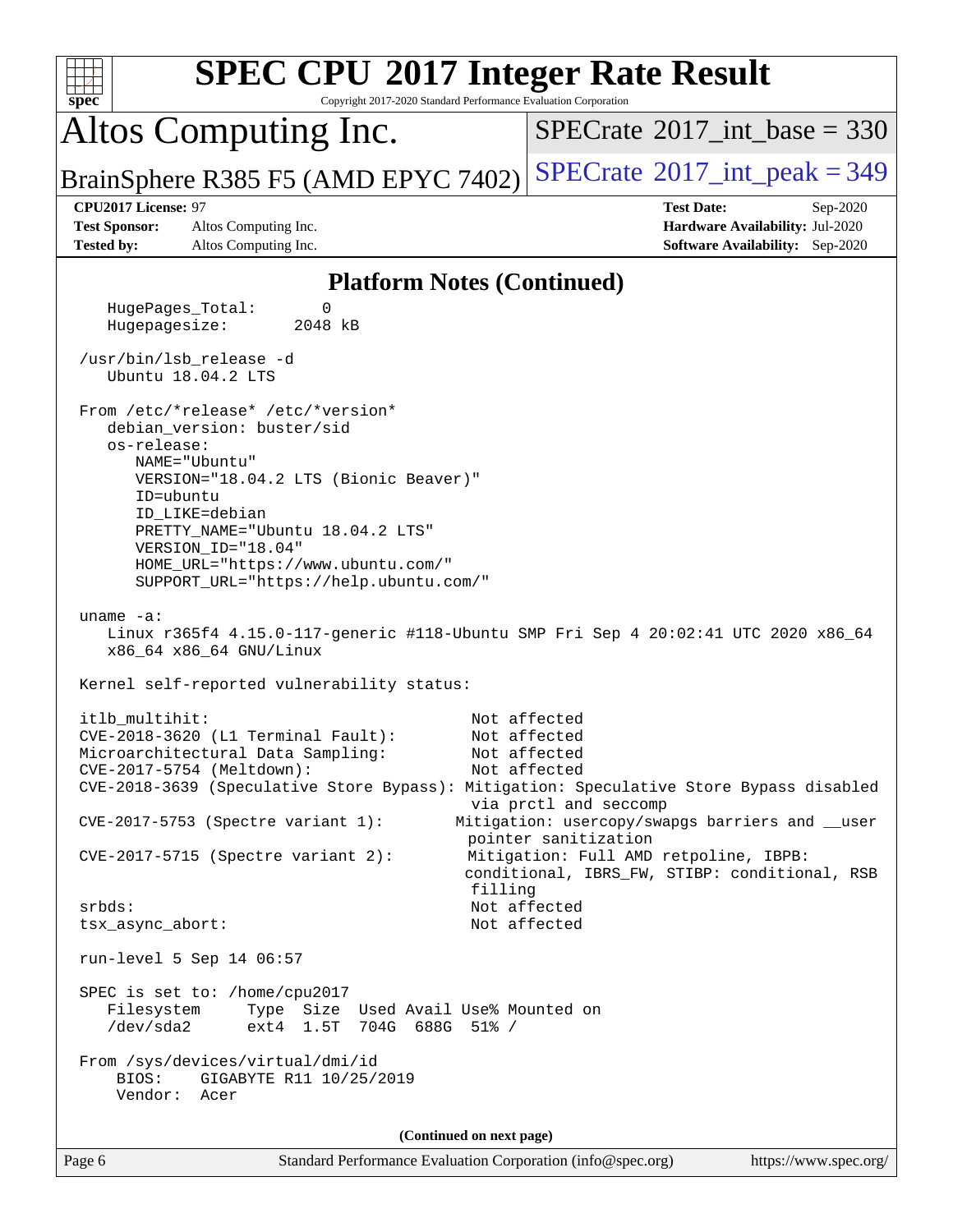| <b>SPEC CPU®2017 Integer Rate Result</b><br>Copyright 2017-2020 Standard Performance Evaluation Corporation<br>spec                    |                                                                                        |
|----------------------------------------------------------------------------------------------------------------------------------------|----------------------------------------------------------------------------------------|
| Altos Computing Inc.                                                                                                                   | $SPECTate$ <sup>®</sup> 2017_int_base = 330                                            |
| BrainSphere R385 F5 (AMD EPYC 7402)                                                                                                    | $SPECrate^{\circ}2017\_int\_peak = 349$                                                |
| CPU2017 License: 97<br><b>Test Sponsor:</b><br>Altos Computing Inc.                                                                    | <b>Test Date:</b><br>Sep-2020<br>Hardware Availability: Jul-2020                       |
| <b>Tested by:</b><br>Altos Computing Inc.                                                                                              | <b>Software Availability:</b> Sep-2020                                                 |
| <b>Platform Notes (Continued)</b>                                                                                                      |                                                                                        |
| HugePages_Total:<br>0<br>Hugepagesize:<br>2048 kB                                                                                      |                                                                                        |
| /usr/bin/lsb_release -d<br>Ubuntu 18.04.2 LTS                                                                                          |                                                                                        |
| From /etc/*release* /etc/*version*<br>debian_version: buster/sid                                                                       |                                                                                        |
| os-release:<br>NAME="Ubuntu"<br>VERSION="18.04.2 LTS (Bionic Beaver)"                                                                  |                                                                                        |
| ID=ubuntu<br>ID_LIKE=debian                                                                                                            |                                                                                        |
| PRETTY_NAME="Ubuntu 18.04.2 LTS"<br>VERSION_ID="18.04"<br>HOME_URL="https://www.ubuntu.com/"<br>SUPPORT_URL="https://help.ubuntu.com/" |                                                                                        |
| uname $-a$ :<br>Linux r365f4 4.15.0-117-generic #118-Ubuntu SMP Fri Sep 4 20:02:41 UTC 2020 x86_64<br>x86_64 x86_64 GNU/Linux          |                                                                                        |
| Kernel self-reported vulnerability status:                                                                                             |                                                                                        |
| itlb multihit:<br>CVE-2018-3620 (L1 Terminal Fault):                                                                                   | Not affected<br>Not affected                                                           |
| Microarchitectural Data Sampling:<br>CVE-2017-5754 (Meltdown):                                                                         | Not affected<br>Not affected                                                           |
| CVE-2018-3639 (Speculative Store Bypass): Mitigation: Speculative Store Bypass disabled                                                | via prctl and seccomp                                                                  |
| $CVE-2017-5753$ (Spectre variant 1):                                                                                                   | Mitigation: usercopy/swapgs barriers and __user<br>pointer sanitization                |
| $CVE-2017-5715$ (Spectre variant 2):<br>filling                                                                                        | Mitigation: Full AMD retpoline, IBPB:<br>conditional, IBRS_FW, STIBP: conditional, RSB |
| srbds:<br>tsx_async_abort:                                                                                                             | Not affected<br>Not affected                                                           |
| run-level 5 Sep 14 06:57                                                                                                               |                                                                                        |
|                                                                                                                                        |                                                                                        |
| SPEC is set to: /home/cpu2017<br>Filesystem<br>Type Size Used Avail Use% Mounted on<br>ext4 1.5T 704G 688G 51% /<br>/dev/sda2          |                                                                                        |
| From /sys/devices/virtual/dmi/id<br>BIOS:<br>GIGABYTE R11 10/25/2019<br>Vendor: Acer                                                   |                                                                                        |
| (Continued on next page)                                                                                                               |                                                                                        |
| Page 6<br>Standard Performance Evaluation Corporation (info@spec.org)                                                                  | https://www.spec.org/                                                                  |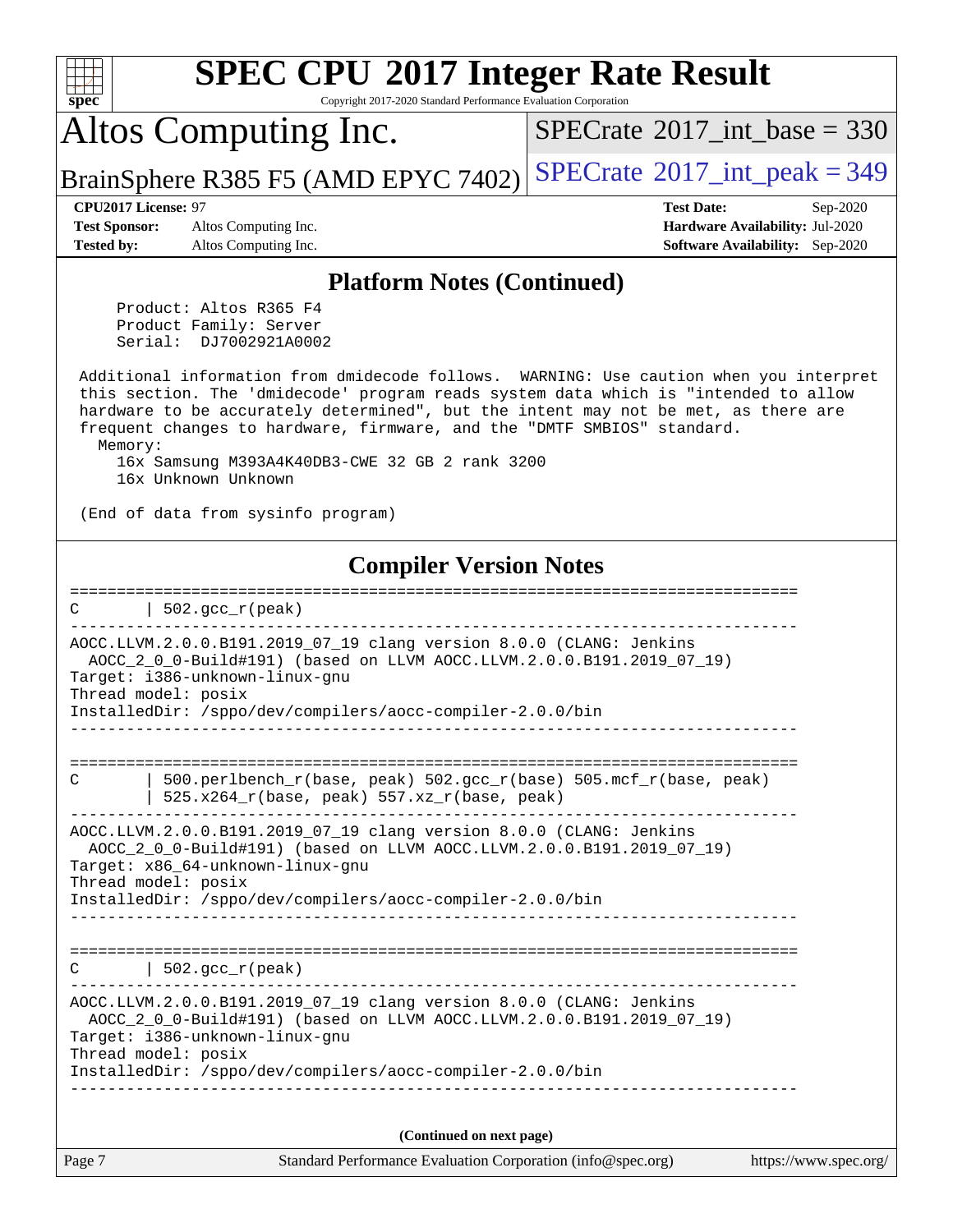| spec <sup>®</sup>                                  | <b>SPEC CPU®2017 Integer Rate Result</b><br>Copyright 2017-2020 Standard Performance Evaluation Corporation                                                                                                                                                                                                                                    |                                                                  |
|----------------------------------------------------|------------------------------------------------------------------------------------------------------------------------------------------------------------------------------------------------------------------------------------------------------------------------------------------------------------------------------------------------|------------------------------------------------------------------|
|                                                    | Altos Computing Inc.                                                                                                                                                                                                                                                                                                                           | $SPECTate$ <sup>®</sup> 2017_int_base = 330                      |
|                                                    | BrainSphere R385 F5 (AMD EPYC 7402)                                                                                                                                                                                                                                                                                                            | $SPECTate@2017_int\_peak = 349$                                  |
| <b>CPU2017 License: 97</b><br><b>Test Sponsor:</b> | Altos Computing Inc.                                                                                                                                                                                                                                                                                                                           | <b>Test Date:</b><br>Sep-2020<br>Hardware Availability: Jul-2020 |
| <b>Tested by:</b>                                  | Altos Computing Inc.                                                                                                                                                                                                                                                                                                                           | <b>Software Availability:</b> Sep-2020                           |
|                                                    | <b>Platform Notes (Continued)</b>                                                                                                                                                                                                                                                                                                              |                                                                  |
|                                                    | Product: Altos R365 F4<br>Product Family: Server<br>Serial: DJ7002921A0002                                                                                                                                                                                                                                                                     |                                                                  |
| Memory:                                            | Additional information from dmidecode follows. WARNING: Use caution when you interpret<br>this section. The 'dmidecode' program reads system data which is "intended to allow<br>hardware to be accurately determined", but the intent may not be met, as there are<br>frequent changes to hardware, firmware, and the "DMTF SMBIOS" standard. |                                                                  |
|                                                    | 16x Samsung M393A4K40DB3-CWE 32 GB 2 rank 3200<br>16x Unknown Unknown                                                                                                                                                                                                                                                                          |                                                                  |
|                                                    | (End of data from sysinfo program)                                                                                                                                                                                                                                                                                                             |                                                                  |
|                                                    | <b>Compiler Version Notes</b>                                                                                                                                                                                                                                                                                                                  |                                                                  |
| C                                                  | $502.\text{gcc\_r}(\text{peak})$                                                                                                                                                                                                                                                                                                               |                                                                  |
|                                                    | AOCC.LLVM.2.0.0.B191.2019_07_19 clang version 8.0.0 (CLANG: Jenkins<br>AOCC_2_0_0-Build#191) (based on LLVM AOCC.LLVM.2.0.0.B191.2019_07_19)<br>Target: i386-unknown-linux-gnu<br>Thread model: posix<br>InstalledDir: /sppo/dev/compilers/aocc-compiler-2.0.0/bin                                                                             |                                                                  |
|                                                    |                                                                                                                                                                                                                                                                                                                                                |                                                                  |
| С                                                  | 500.perlbench_r(base, peak) 502.gcc_r(base) 505.mcf_r(base, peak)<br>525.x264_r(base, peak) 557.xz_r(base, peak)                                                                                                                                                                                                                               |                                                                  |
|                                                    | AOCC.LLVM.2.0.0.B191.2019_07_19 clang version 8.0.0 (CLANG: Jenkins<br>AOCC_2_0_0-Build#191) (based on LLVM AOCC.LLVM.2.0.0.B191.2019_07_19)<br>Target: x86_64-unknown-linux-gnu<br>Thread model: posix<br>InstalledDir: /sppo/dev/compilers/aocc-compiler-2.0.0/bin                                                                           |                                                                  |
|                                                    |                                                                                                                                                                                                                                                                                                                                                |                                                                  |
| С                                                  | $502.\text{gcc\_r}(\text{peak})$                                                                                                                                                                                                                                                                                                               |                                                                  |
|                                                    | AOCC.LLVM.2.0.0.B191.2019_07_19 clang version 8.0.0 (CLANG: Jenkins<br>AOCC_2_0_0-Build#191) (based on LLVM AOCC.LLVM.2.0.0.B191.2019_07_19)<br>Target: i386-unknown-linux-gnu<br>Thread model: posix                                                                                                                                          |                                                                  |
|                                                    | InstalledDir: /sppo/dev/compilers/aocc-compiler-2.0.0/bin                                                                                                                                                                                                                                                                                      |                                                                  |
|                                                    | (Continued on next page)                                                                                                                                                                                                                                                                                                                       |                                                                  |
| Page 7                                             | Standard Performance Evaluation Corporation (info@spec.org)                                                                                                                                                                                                                                                                                    | https://www.spec.org/                                            |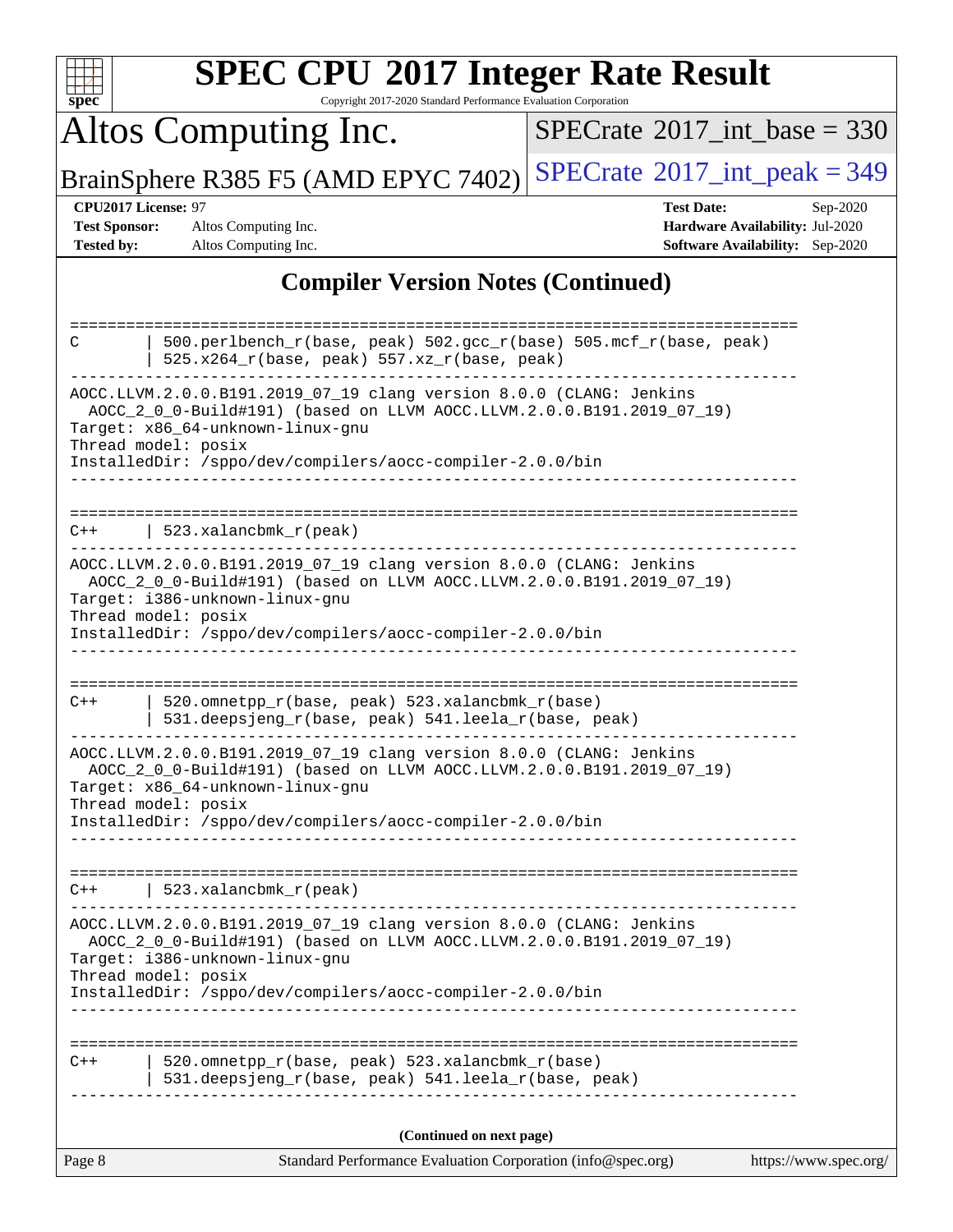| $s\overline{p}$ ec <sup>®</sup>    | <b>SPEC CPU®2017 Integer Rate Result</b><br>Copyright 2017-2020 Standard Performance Evaluation Corporation                                                                                                                                                        |                                                                                                |                       |
|------------------------------------|--------------------------------------------------------------------------------------------------------------------------------------------------------------------------------------------------------------------------------------------------------------------|------------------------------------------------------------------------------------------------|-----------------------|
|                                    | Altos Computing Inc.                                                                                                                                                                                                                                               | $SPECTate$ <sup>®</sup> 2017_int_base = 330                                                    |                       |
|                                    | BrainSphere R385 F5 (AMD EPYC 7402)                                                                                                                                                                                                                                | $SPECTate$ <sup>®</sup> 2017_int_peak = 349                                                    |                       |
| <b>Test Sponsor:</b><br>Tested by: | CPU2017 License: 97<br>Altos Computing Inc.<br>Altos Computing Inc.                                                                                                                                                                                                | <b>Test Date:</b><br>Hardware Availability: Jul-2020<br><b>Software Availability:</b> Sep-2020 | Sep-2020              |
|                                    | <b>Compiler Version Notes (Continued)</b>                                                                                                                                                                                                                          |                                                                                                |                       |
| C                                  | 500.perlbench_r(base, peak) 502.gcc_r(base) 505.mcf_r(base, peak)<br>525.x264_r(base, peak) 557.xz_r(base, peak)<br>AOCC.LLVM.2.0.0.B191.2019_07_19 clang version 8.0.0 (CLANG: Jenkins<br>AOCC_2_0_0-Build#191) (based on LLVM AOCC.LLVM.2.0.0.B191.2019_07_19)   |                                                                                                |                       |
|                                    | Target: x86 64-unknown-linux-gnu<br>Thread model: posix<br>InstalledDir: /sppo/dev/compilers/aocc-compiler-2.0.0/bin                                                                                                                                               |                                                                                                |                       |
| C++                                | 523.xalancbmk_r(peak)                                                                                                                                                                                                                                              |                                                                                                |                       |
|                                    | AOCC.LLVM.2.0.0.B191.2019_07_19 clang version 8.0.0 (CLANG: Jenkins<br>AOCC_2_0_0-Build#191) (based on LLVM AOCC.LLVM.2.0.0.B191.2019_07_19)<br>Target: i386-unknown-linux-gnu<br>Thread model: posix<br>InstalledDir: /sppo/dev/compilers/aocc-compiler-2.0.0/bin |                                                                                                |                       |
| $C++$                              | 520.omnetpp_r(base, peak) 523.xalancbmk_r(base)<br>531.deepsjeng_r(base, peak) 541.leela_r(base, peak)                                                                                                                                                             |                                                                                                |                       |
|                                    | AOCC.LLVM.2.0.0.B191.2019_07_19 clang version 8.0.0 (CLANG: Jenkins<br>AOCC_2_0_0-Build#191) (based on LLVM AOCC.LLVM.2.0.0.B191.2019_07_19)<br>Target: x86_64-unknown-linux-gnu<br>Thread model: posix                                                            |                                                                                                |                       |
|                                    | InstalledDir: /sppo/dev/compilers/aocc-compiler-2.0.0/bin                                                                                                                                                                                                          |                                                                                                |                       |
| $C++$                              | 523.xalancbmk_r(peak)                                                                                                                                                                                                                                              |                                                                                                |                       |
|                                    | AOCC.LLVM.2.0.0.B191.2019_07_19 clang version 8.0.0 (CLANG: Jenkins<br>AOCC_2_0_0-Build#191) (based on LLVM AOCC.LLVM.2.0.0.B191.2019_07_19)<br>Target: i386-unknown-linux-gnu<br>Thread model: posix<br>InstalledDir: /sppo/dev/compilers/aocc-compiler-2.0.0/bin |                                                                                                |                       |
| $C++$                              | 520.omnetpp_r(base, peak) 523.xalancbmk_r(base)<br>531.deepsjeng_r(base, peak) 541.leela_r(base, peak)                                                                                                                                                             |                                                                                                |                       |
|                                    |                                                                                                                                                                                                                                                                    |                                                                                                |                       |
| Page 8                             | (Continued on next page)<br>Standard Performance Evaluation Corporation (info@spec.org)                                                                                                                                                                            |                                                                                                | https://www.spec.org/ |
|                                    |                                                                                                                                                                                                                                                                    |                                                                                                |                       |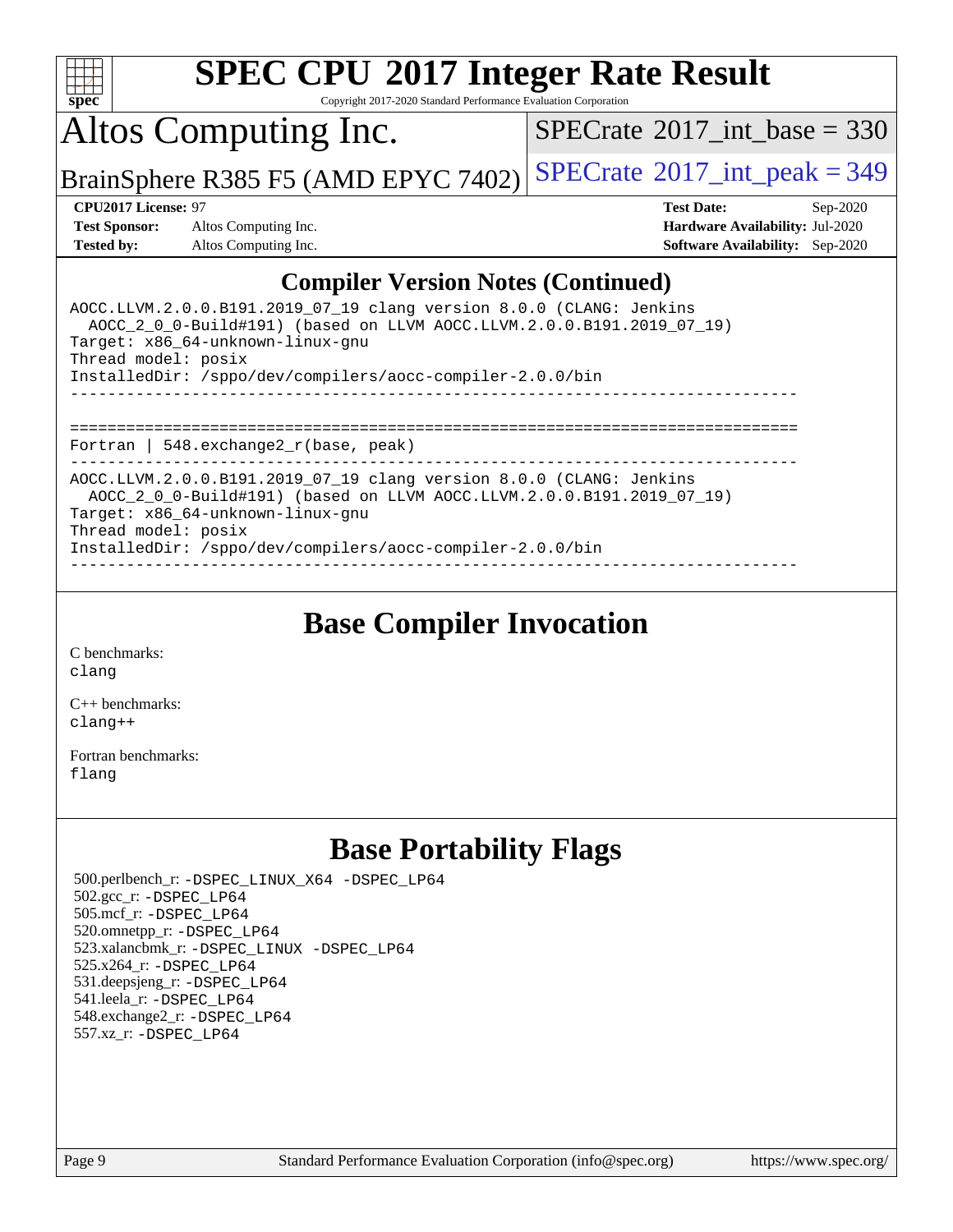

Copyright 2017-2020 Standard Performance Evaluation Corporation

Altos Computing Inc.

 $SPECTate@2017_int\_base = 330$ 

BrainSphere R385 F5 (AMD EPYC 7402) [SPECrate](http://www.spec.org/auto/cpu2017/Docs/result-fields.html#SPECrate2017intpeak)<sup>®</sup>[2017\\_int\\_peak = 3](http://www.spec.org/auto/cpu2017/Docs/result-fields.html#SPECrate2017intpeak)49

**[Test Sponsor:](http://www.spec.org/auto/cpu2017/Docs/result-fields.html#TestSponsor)** Altos Computing Inc. **[Hardware Availability:](http://www.spec.org/auto/cpu2017/Docs/result-fields.html#HardwareAvailability)** Jul-2020 **[Tested by:](http://www.spec.org/auto/cpu2017/Docs/result-fields.html#Testedby)** Altos Computing Inc. **[Software Availability:](http://www.spec.org/auto/cpu2017/Docs/result-fields.html#SoftwareAvailability)** Sep-2020

**[CPU2017 License:](http://www.spec.org/auto/cpu2017/Docs/result-fields.html#CPU2017License)** 97 **[Test Date:](http://www.spec.org/auto/cpu2017/Docs/result-fields.html#TestDate)** Sep-2020

### **[Compiler Version Notes \(Continued\)](http://www.spec.org/auto/cpu2017/Docs/result-fields.html#CompilerVersionNotes)**

| AOCC.LLVM.2.0.0.B191.2019 07 19 clang version 8.0.0 (CLANG: Jenkins<br>AOCC 2 0 0-Build#191) (based on LLVM AOCC.LLVM.2.0.0.B191.2019 07 19)<br>Target: x86 64-unknown-linux-gnu<br>Thread model: posix<br>InstalledDir: /sppo/dev/compilers/aocc-compiler-2.0.0/bin |
|----------------------------------------------------------------------------------------------------------------------------------------------------------------------------------------------------------------------------------------------------------------------|
| Fortran   548. $exchange2 r(base, peak)$                                                                                                                                                                                                                             |
| AOCC.LLVM.2.0.0.B191.2019 07 19 clang version 8.0.0 (CLANG: Jenkins<br>AOCC 2 0 0-Build#191) (based on LLVM AOCC.LLVM.2.0.0.B191.2019 07 19)<br>Target: x86 64-unknown-linux-gnu<br>Thread model: posix<br>InstalledDir: /sppo/dev/compilers/aocc-compiler-2.0.0/bin |

**[Base Compiler Invocation](http://www.spec.org/auto/cpu2017/Docs/result-fields.html#BaseCompilerInvocation)**

[C benchmarks](http://www.spec.org/auto/cpu2017/Docs/result-fields.html#Cbenchmarks): [clang](http://www.spec.org/cpu2017/results/res2020q4/cpu2017-20201012-24192.flags.html#user_CCbase_clang-c)

[C++ benchmarks:](http://www.spec.org/auto/cpu2017/Docs/result-fields.html#CXXbenchmarks) [clang++](http://www.spec.org/cpu2017/results/res2020q4/cpu2017-20201012-24192.flags.html#user_CXXbase_clang-cpp)

[Fortran benchmarks](http://www.spec.org/auto/cpu2017/Docs/result-fields.html#Fortranbenchmarks): [flang](http://www.spec.org/cpu2017/results/res2020q4/cpu2017-20201012-24192.flags.html#user_FCbase_flang)

# **[Base Portability Flags](http://www.spec.org/auto/cpu2017/Docs/result-fields.html#BasePortabilityFlags)**

 500.perlbench\_r: [-DSPEC\\_LINUX\\_X64](http://www.spec.org/cpu2017/results/res2020q4/cpu2017-20201012-24192.flags.html#b500.perlbench_r_basePORTABILITY_DSPEC_LINUX_X64) [-DSPEC\\_LP64](http://www.spec.org/cpu2017/results/res2020q4/cpu2017-20201012-24192.flags.html#b500.perlbench_r_baseEXTRA_PORTABILITY_DSPEC_LP64) 502.gcc\_r: [-DSPEC\\_LP64](http://www.spec.org/cpu2017/results/res2020q4/cpu2017-20201012-24192.flags.html#suite_baseEXTRA_PORTABILITY502_gcc_r_DSPEC_LP64) 505.mcf\_r: [-DSPEC\\_LP64](http://www.spec.org/cpu2017/results/res2020q4/cpu2017-20201012-24192.flags.html#suite_baseEXTRA_PORTABILITY505_mcf_r_DSPEC_LP64) 520.omnetpp\_r: [-DSPEC\\_LP64](http://www.spec.org/cpu2017/results/res2020q4/cpu2017-20201012-24192.flags.html#suite_baseEXTRA_PORTABILITY520_omnetpp_r_DSPEC_LP64) 523.xalancbmk\_r: [-DSPEC\\_LINUX](http://www.spec.org/cpu2017/results/res2020q4/cpu2017-20201012-24192.flags.html#b523.xalancbmk_r_basePORTABILITY_DSPEC_LINUX) [-DSPEC\\_LP64](http://www.spec.org/cpu2017/results/res2020q4/cpu2017-20201012-24192.flags.html#suite_baseEXTRA_PORTABILITY523_xalancbmk_r_DSPEC_LP64) 525.x264\_r: [-DSPEC\\_LP64](http://www.spec.org/cpu2017/results/res2020q4/cpu2017-20201012-24192.flags.html#suite_baseEXTRA_PORTABILITY525_x264_r_DSPEC_LP64) 531.deepsjeng\_r: [-DSPEC\\_LP64](http://www.spec.org/cpu2017/results/res2020q4/cpu2017-20201012-24192.flags.html#suite_baseEXTRA_PORTABILITY531_deepsjeng_r_DSPEC_LP64) 541.leela\_r: [-DSPEC\\_LP64](http://www.spec.org/cpu2017/results/res2020q4/cpu2017-20201012-24192.flags.html#suite_baseEXTRA_PORTABILITY541_leela_r_DSPEC_LP64) 548.exchange2\_r: [-DSPEC\\_LP64](http://www.spec.org/cpu2017/results/res2020q4/cpu2017-20201012-24192.flags.html#suite_baseEXTRA_PORTABILITY548_exchange2_r_DSPEC_LP64) 557.xz\_r: [-DSPEC\\_LP64](http://www.spec.org/cpu2017/results/res2020q4/cpu2017-20201012-24192.flags.html#suite_baseEXTRA_PORTABILITY557_xz_r_DSPEC_LP64)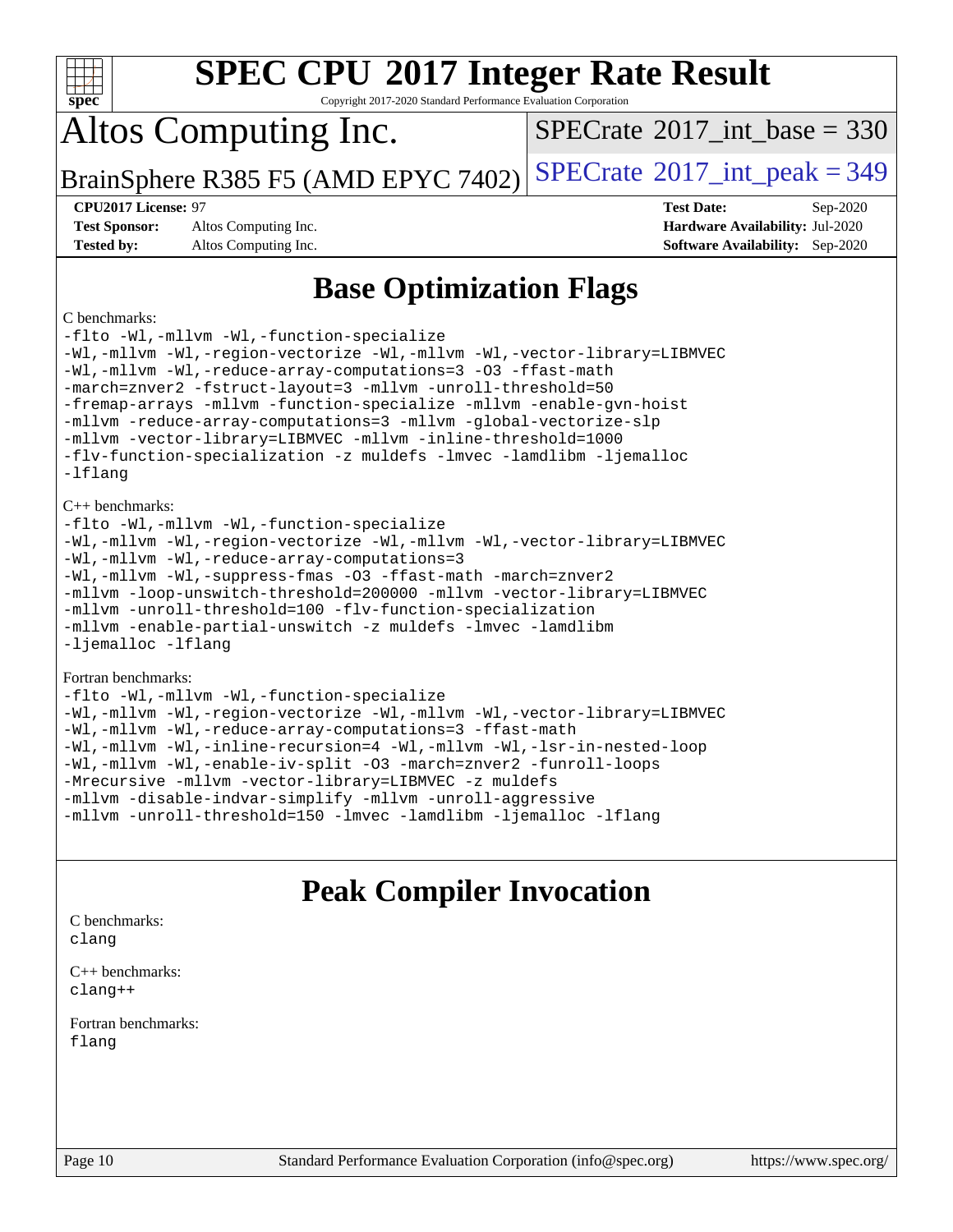| <b>SPEC CPU®2017 Integer Rate Result</b><br>$Spec^*$<br>Copyright 2017-2020 Standard Performance Evaluation Corporation                                                                                                                                                                                                                                                                                                                                                                                                                                                                                                                                                                                                                                                                              |                                              |
|------------------------------------------------------------------------------------------------------------------------------------------------------------------------------------------------------------------------------------------------------------------------------------------------------------------------------------------------------------------------------------------------------------------------------------------------------------------------------------------------------------------------------------------------------------------------------------------------------------------------------------------------------------------------------------------------------------------------------------------------------------------------------------------------------|----------------------------------------------|
| Altos Computing Inc.                                                                                                                                                                                                                                                                                                                                                                                                                                                                                                                                                                                                                                                                                                                                                                                 | $SPECrate^{\circledcirc}2017$ int base = 330 |
| BrainSphere R385 F5 (AMD EPYC 7402)                                                                                                                                                                                                                                                                                                                                                                                                                                                                                                                                                                                                                                                                                                                                                                  | $SPECTate$ <sup>®</sup> 2017_int_peak = 349  |
| CPU2017 License: 97                                                                                                                                                                                                                                                                                                                                                                                                                                                                                                                                                                                                                                                                                                                                                                                  | <b>Test Date:</b><br>Sep-2020                |
| <b>Test Sponsor:</b><br>Altos Computing Inc.                                                                                                                                                                                                                                                                                                                                                                                                                                                                                                                                                                                                                                                                                                                                                         | Hardware Availability: Jul-2020              |
| <b>Tested by:</b><br>Altos Computing Inc.                                                                                                                                                                                                                                                                                                                                                                                                                                                                                                                                                                                                                                                                                                                                                            | <b>Software Availability:</b> Sep-2020       |
| <b>Base Optimization Flags</b><br>C benchmarks:<br>-flto -Wl,-mllvm -Wl,-function-specialize<br>-Wl,-mllvm -Wl,-region-vectorize -Wl,-mllvm -Wl,-vector-library=LIBMVEC<br>-Wl,-mllvm -Wl,-reduce-array-computations=3 -03 -ffast-math<br>-march=znver2 -fstruct-layout=3 -mllvm -unroll-threshold=50<br>-fremap-arrays -mllvm -function-specialize -mllvm -enable-gvn-hoist<br>-mllvm -reduce-array-computations=3 -mllvm -qlobal-vectorize-slp<br>-mllvm -vector-library=LIBMVEC -mllvm -inline-threshold=1000<br>-flv-function-specialization -z muldefs -lmvec -lamdlibm -ljemalloc<br>$-Ifl$ anq<br>$C_{++}$ benchmarks:<br>-flto -Wl,-mllvm -Wl,-function-specialize<br>-Wl,-mllvm -Wl,-region-vectorize -Wl,-mllvm -Wl,-vector-library=LIBMVEC<br>-Wl,-mllvm -Wl,-reduce-array-computations=3 |                                              |

[-Wl,-mllvm -Wl,-suppress-fmas](http://www.spec.org/cpu2017/results/res2020q4/cpu2017-20201012-24192.flags.html#user_CXXbase_F-suppress-fmas_f00f00630e4a059e8af9c161e9bbf420bcf19890a7f99d5933525e66aa4b0bb3ab2339d2b12d97d3a5f5d271e839fe9c109938e91fe06230fb53651590cfa1e8) [-O3](http://www.spec.org/cpu2017/results/res2020q4/cpu2017-20201012-24192.flags.html#user_CXXbase_F-O3) [-ffast-math](http://www.spec.org/cpu2017/results/res2020q4/cpu2017-20201012-24192.flags.html#user_CXXbase_aocc-ffast-math) [-march=znver2](http://www.spec.org/cpu2017/results/res2020q4/cpu2017-20201012-24192.flags.html#user_CXXbase_aocc-march_3e2e19cff2eeef60c5d90b059483627c9ea47eca6d66670dbd53f9185f6439e27eb5e104cf773e9e8ab18c8842ce63e461a3e948d0214bd567ef3ade411bf467) [-mllvm -loop-unswitch-threshold=200000](http://www.spec.org/cpu2017/results/res2020q4/cpu2017-20201012-24192.flags.html#user_CXXbase_F-loop-unswitch-threshold_f9a82ae3270e55b5fbf79d0d96ee93606b73edbbe527d20b18b7bff1a3a146ad50cfc7454c5297978340ae9213029016a7d16221274d672d3f7f42ed25274e1d) [-mllvm -vector-library=LIBMVEC](http://www.spec.org/cpu2017/results/res2020q4/cpu2017-20201012-24192.flags.html#user_CXXbase_F-use-vector-library_e584e20b4f7ec96aa109254b65d8e01d864f3d68580371b9d93ed7c338191d4cfce20c3c864632264effc6bbe4c7c38153d02096a342ee92501c4a53204a7871) [-mllvm -unroll-threshold=100](http://www.spec.org/cpu2017/results/res2020q4/cpu2017-20201012-24192.flags.html#user_CXXbase_F-unroll-threshold_2755d0c78138845d361fa1543e3a063fffa198df9b3edf0cfb856bbc88a81e1769b12ac7a550c5d35197be55360db1a3f95a8d1304df999456cabf5120c45168) [-flv-function-specialization](http://www.spec.org/cpu2017/results/res2020q4/cpu2017-20201012-24192.flags.html#user_CXXbase_F-flv-function-specialization) [-mllvm -enable-partial-unswitch](http://www.spec.org/cpu2017/results/res2020q4/cpu2017-20201012-24192.flags.html#user_CXXbase_F-enable-partial-unswitch_6e1c33f981d77963b1eaf834973128a7f33ce3f8e27f54689656697a35e89dcc875281e0e6283d043e32f367dcb605ba0e307a92e830f7e326789fa6c61b35d3) [-z muldefs](http://www.spec.org/cpu2017/results/res2020q4/cpu2017-20201012-24192.flags.html#user_CXXbase_aocc-muldefs) [-lmvec](http://www.spec.org/cpu2017/results/res2020q4/cpu2017-20201012-24192.flags.html#user_CXXbase_F-lmvec) [-lamdlibm](http://www.spec.org/cpu2017/results/res2020q4/cpu2017-20201012-24192.flags.html#user_CXXbase_F-lamdlibm) [-ljemalloc](http://www.spec.org/cpu2017/results/res2020q4/cpu2017-20201012-24192.flags.html#user_CXXbase_jemalloc-lib) [-lflang](http://www.spec.org/cpu2017/results/res2020q4/cpu2017-20201012-24192.flags.html#user_CXXbase_F-lflang)

#### [Fortran benchmarks:](http://www.spec.org/auto/cpu2017/Docs/result-fields.html#Fortranbenchmarks)

| -flto -Wl,-mllvm -Wl,-function-specialize                               |
|-------------------------------------------------------------------------|
| -Wl,-mllvm -Wl,-region-vectorize -Wl,-mllvm -Wl,-vector-library=LIBMVEC |
| -Wl,-mllvm -Wl,-reduce-array-computations=3 -ffast-math                 |
| -Wl,-mllvm -Wl,-inline-recursion=4 -Wl,-mllvm -Wl,-lsr-in-nested-loop   |
| -Wl,-mllvm -Wl,-enable-iv-split -03 -march=znver2 -funroll-loops        |
| -Mrecursive -mllvm -vector-library=LIBMVEC -z muldefs                   |
| -mllvm -disable-indvar-simplify -mllvm -unroll-aggressive               |
| -mllvm -unroll-threshold=150 -lmvec -lamdlibm -ljemalloc -lflang        |

## **[Peak Compiler Invocation](http://www.spec.org/auto/cpu2017/Docs/result-fields.html#PeakCompilerInvocation)**

[C benchmarks](http://www.spec.org/auto/cpu2017/Docs/result-fields.html#Cbenchmarks): [clang](http://www.spec.org/cpu2017/results/res2020q4/cpu2017-20201012-24192.flags.html#user_CCpeak_clang-c)

[C++ benchmarks:](http://www.spec.org/auto/cpu2017/Docs/result-fields.html#CXXbenchmarks) [clang++](http://www.spec.org/cpu2017/results/res2020q4/cpu2017-20201012-24192.flags.html#user_CXXpeak_clang-cpp)

[Fortran benchmarks](http://www.spec.org/auto/cpu2017/Docs/result-fields.html#Fortranbenchmarks): [flang](http://www.spec.org/cpu2017/results/res2020q4/cpu2017-20201012-24192.flags.html#user_FCpeak_flang)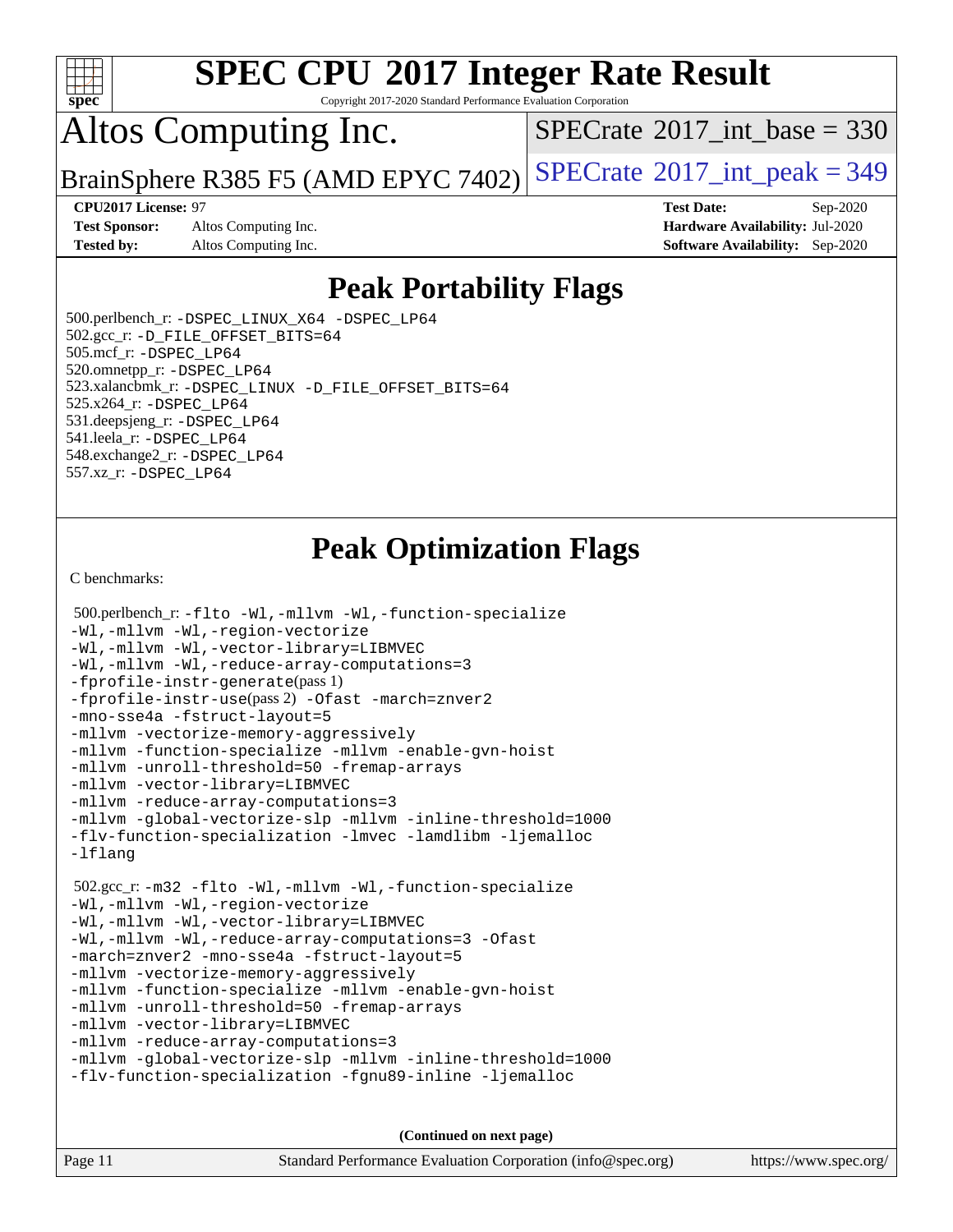

Copyright 2017-2020 Standard Performance Evaluation Corporation

# Altos Computing Inc.

 $SPECTate@2017_int\_base = 330$ 

BrainSphere R385 F5 (AMD EPYC 7402) [SPECrate](http://www.spec.org/auto/cpu2017/Docs/result-fields.html#SPECrate2017intpeak)<sup>®</sup>[2017\\_int\\_peak = 3](http://www.spec.org/auto/cpu2017/Docs/result-fields.html#SPECrate2017intpeak)49

**[Test Sponsor:](http://www.spec.org/auto/cpu2017/Docs/result-fields.html#TestSponsor)** Altos Computing Inc. **[Hardware Availability:](http://www.spec.org/auto/cpu2017/Docs/result-fields.html#HardwareAvailability)** Jul-2020 **[Tested by:](http://www.spec.org/auto/cpu2017/Docs/result-fields.html#Testedby)** Altos Computing Inc. **[Software Availability:](http://www.spec.org/auto/cpu2017/Docs/result-fields.html#SoftwareAvailability)** Sep-2020

**[CPU2017 License:](http://www.spec.org/auto/cpu2017/Docs/result-fields.html#CPU2017License)** 97 **[Test Date:](http://www.spec.org/auto/cpu2017/Docs/result-fields.html#TestDate)** Sep-2020

## **[Peak Portability Flags](http://www.spec.org/auto/cpu2017/Docs/result-fields.html#PeakPortabilityFlags)**

 500.perlbench\_r: [-DSPEC\\_LINUX\\_X64](http://www.spec.org/cpu2017/results/res2020q4/cpu2017-20201012-24192.flags.html#b500.perlbench_r_peakPORTABILITY_DSPEC_LINUX_X64) [-DSPEC\\_LP64](http://www.spec.org/cpu2017/results/res2020q4/cpu2017-20201012-24192.flags.html#b500.perlbench_r_peakEXTRA_PORTABILITY_DSPEC_LP64) 502.gcc\_r: [-D\\_FILE\\_OFFSET\\_BITS=64](http://www.spec.org/cpu2017/results/res2020q4/cpu2017-20201012-24192.flags.html#user_peakEXTRA_PORTABILITY502_gcc_r_F-D_FILE_OFFSET_BITS_5ae949a99b284ddf4e95728d47cb0843d81b2eb0e18bdfe74bbf0f61d0b064f4bda2f10ea5eb90e1dcab0e84dbc592acfc5018bc955c18609f94ddb8d550002c) 505.mcf\_r: [-DSPEC\\_LP64](http://www.spec.org/cpu2017/results/res2020q4/cpu2017-20201012-24192.flags.html#suite_peakEXTRA_PORTABILITY505_mcf_r_DSPEC_LP64) 520.omnetpp\_r: [-DSPEC\\_LP64](http://www.spec.org/cpu2017/results/res2020q4/cpu2017-20201012-24192.flags.html#suite_peakEXTRA_PORTABILITY520_omnetpp_r_DSPEC_LP64) 523.xalancbmk\_r: [-DSPEC\\_LINUX](http://www.spec.org/cpu2017/results/res2020q4/cpu2017-20201012-24192.flags.html#b523.xalancbmk_r_peakPORTABILITY_DSPEC_LINUX) [-D\\_FILE\\_OFFSET\\_BITS=64](http://www.spec.org/cpu2017/results/res2020q4/cpu2017-20201012-24192.flags.html#user_peakEXTRA_PORTABILITY523_xalancbmk_r_F-D_FILE_OFFSET_BITS_5ae949a99b284ddf4e95728d47cb0843d81b2eb0e18bdfe74bbf0f61d0b064f4bda2f10ea5eb90e1dcab0e84dbc592acfc5018bc955c18609f94ddb8d550002c) 525.x264\_r: [-DSPEC\\_LP64](http://www.spec.org/cpu2017/results/res2020q4/cpu2017-20201012-24192.flags.html#suite_peakEXTRA_PORTABILITY525_x264_r_DSPEC_LP64) 531.deepsjeng\_r: [-DSPEC\\_LP64](http://www.spec.org/cpu2017/results/res2020q4/cpu2017-20201012-24192.flags.html#suite_peakEXTRA_PORTABILITY531_deepsjeng_r_DSPEC_LP64) 541.leela\_r: [-DSPEC\\_LP64](http://www.spec.org/cpu2017/results/res2020q4/cpu2017-20201012-24192.flags.html#suite_peakEXTRA_PORTABILITY541_leela_r_DSPEC_LP64) 548.exchange2\_r: [-DSPEC\\_LP64](http://www.spec.org/cpu2017/results/res2020q4/cpu2017-20201012-24192.flags.html#suite_peakEXTRA_PORTABILITY548_exchange2_r_DSPEC_LP64) 557.xz\_r: [-DSPEC\\_LP64](http://www.spec.org/cpu2017/results/res2020q4/cpu2017-20201012-24192.flags.html#suite_peakEXTRA_PORTABILITY557_xz_r_DSPEC_LP64)

# **[Peak Optimization Flags](http://www.spec.org/auto/cpu2017/Docs/result-fields.html#PeakOptimizationFlags)**

[C benchmarks](http://www.spec.org/auto/cpu2017/Docs/result-fields.html#Cbenchmarks):

```
 500.perlbench_r: -flto -Wl,-mllvm -Wl,-function-specialize
-Wl,-mllvm -Wl,-region-vectorize
-Wl,-mllvm -Wl,-vector-library=LIBMVEC
-Wl,-mllvm -Wl,-reduce-array-computations=3
-fprofile-instr-generate(pass 1)
-fprofile-instr-use(pass 2) -Ofast -march=znver2
-mno-sse4a -fstruct-layout=5
-mllvm -vectorize-memory-aggressively
-mllvm -function-specialize -mllvm -enable-gvn-hoist
-mllvm -unroll-threshold=50 -fremap-arrays
-mllvm -vector-library=LIBMVEC
-mllvm -reduce-array-computations=3
-mllvm -global-vectorize-slp -mllvm -inline-threshold=1000
-flv-function-specialization -lmvec -lamdlibm -ljemalloc
-lflang
 502.gcc_r: -m32 -flto -Wl,-mllvm -Wl,-function-specialize
-Wl,-mllvm -Wl,-region-vectorize
-Wl,-mllvm -Wl,-vector-library=LIBMVEC
-Wl,-mllvm -Wl,-reduce-array-computations=3 -Ofast
-march=znver2 -mno-sse4a -fstruct-layout=5
-mllvm -vectorize-memory-aggressively
-mllvm -function-specialize -mllvm -enable-gvn-hoist
-mllvm -unroll-threshold=50 -fremap-arrays
-mllvm -vector-library=LIBMVEC
-mllvm -reduce-array-computations=3
-mllvm -global-vectorize-slp -mllvm -inline-threshold=1000
-flv-function-specialization -fgnu89-inline -ljemalloc
```
**(Continued on next page)**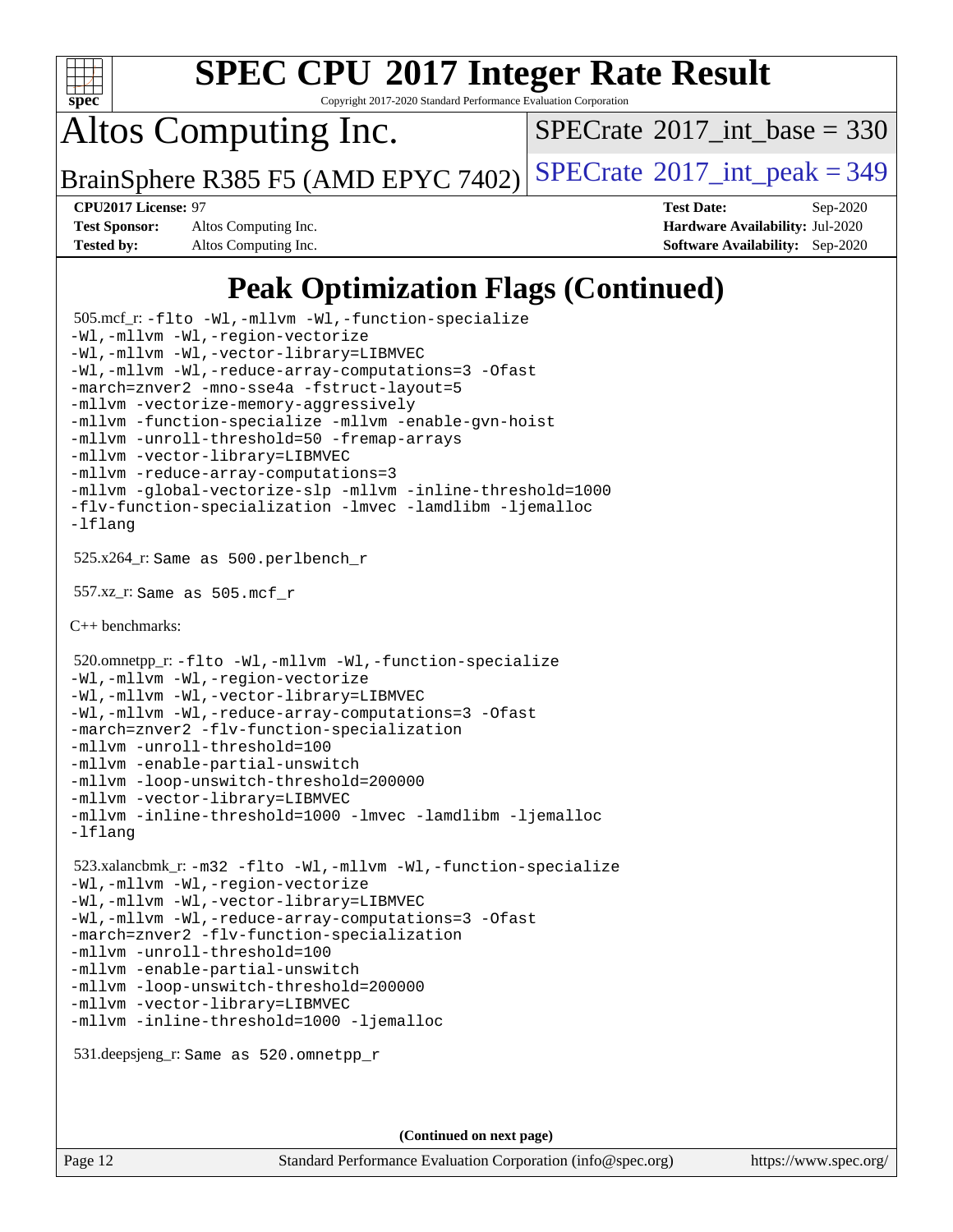

Copyright 2017-2020 Standard Performance Evaluation Corporation

Altos Computing Inc.

 $SPECTate$ <sup>®</sup>[2017\\_int\\_base =](http://www.spec.org/auto/cpu2017/Docs/result-fields.html#SPECrate2017intbase) 330

BrainSphere R385 F5 (AMD EPYC 7402) [SPECrate](http://www.spec.org/auto/cpu2017/Docs/result-fields.html#SPECrate2017intpeak)<sup>®</sup>[2017\\_int\\_peak = 3](http://www.spec.org/auto/cpu2017/Docs/result-fields.html#SPECrate2017intpeak)49

**[Test Sponsor:](http://www.spec.org/auto/cpu2017/Docs/result-fields.html#TestSponsor)** Altos Computing Inc. **[Hardware Availability:](http://www.spec.org/auto/cpu2017/Docs/result-fields.html#HardwareAvailability)** Jul-2020

**[CPU2017 License:](http://www.spec.org/auto/cpu2017/Docs/result-fields.html#CPU2017License)** 97 **[Test Date:](http://www.spec.org/auto/cpu2017/Docs/result-fields.html#TestDate)** Sep-2020 **[Tested by:](http://www.spec.org/auto/cpu2017/Docs/result-fields.html#Testedby)** Altos Computing Inc. **[Software Availability:](http://www.spec.org/auto/cpu2017/Docs/result-fields.html#SoftwareAvailability)** Sep-2020

# **[Peak Optimization Flags \(Continued\)](http://www.spec.org/auto/cpu2017/Docs/result-fields.html#PeakOptimizationFlags)**

```
 505.mcf_r: -flto -Wl,-mllvm -Wl,-function-specialize
-Wl,-mllvm -Wl,-region-vectorize
-Wl,-mllvm -Wl,-vector-library=LIBMVEC
-Wl,-mllvm -Wl,-reduce-array-computations=3 -Ofast
-march=znver2 -mno-sse4a -fstruct-layout=5
-mllvm -vectorize-memory-aggressively
-mllvm -function-specialize -mllvm -enable-gvn-hoist
-mllvm -unroll-threshold=50 -fremap-arrays
-mllvm -vector-library=LIBMVEC
-mllvm -reduce-array-computations=3
-mllvm -global-vectorize-slp -mllvm -inline-threshold=1000
-flv-function-specialization -lmvec -lamdlibm -ljemalloc
-lflang
 525.x264_r: Same as 500.perlbench_r
 557.xz_r: Same as 505.mcf_r
C++ benchmarks: 
 520.omnetpp_r: -flto -Wl,-mllvm -Wl,-function-specialize
-Wl,-mllvm -Wl,-region-vectorize
-Wl,-mllvm -Wl,-vector-library=LIBMVEC
-Wl,-mllvm -Wl,-reduce-array-computations=3 -Ofast
-march=znver2 -flv-function-specialization
-mllvm -unroll-threshold=100
-mllvm -enable-partial-unswitch
-mllvm -loop-unswitch-threshold=200000
-mllvm -vector-library=LIBMVEC
-mllvm -inline-threshold=1000 -lmvec -lamdlibm -ljemalloc
-lflang
 523.xalancbmk_r: -m32 -flto -Wl,-mllvm -Wl,-function-specialize
-Wl,-mllvm -Wl,-region-vectorize
-Wl,-mllvm -Wl,-vector-library=LIBMVEC
-Wl,-mllvm -Wl,-reduce-array-computations=3 -Ofast
-march=znver2 -flv-function-specialization
-mllvm -unroll-threshold=100
-mllvm -enable-partial-unswitch
-mllvm -loop-unswitch-threshold=200000
-mllvm -vector-library=LIBMVEC
-mllvm -inline-threshold=1000 -ljemalloc
 531.deepsjeng_r: Same as 520.omnetpp_r
                                     (Continued on next page)
```